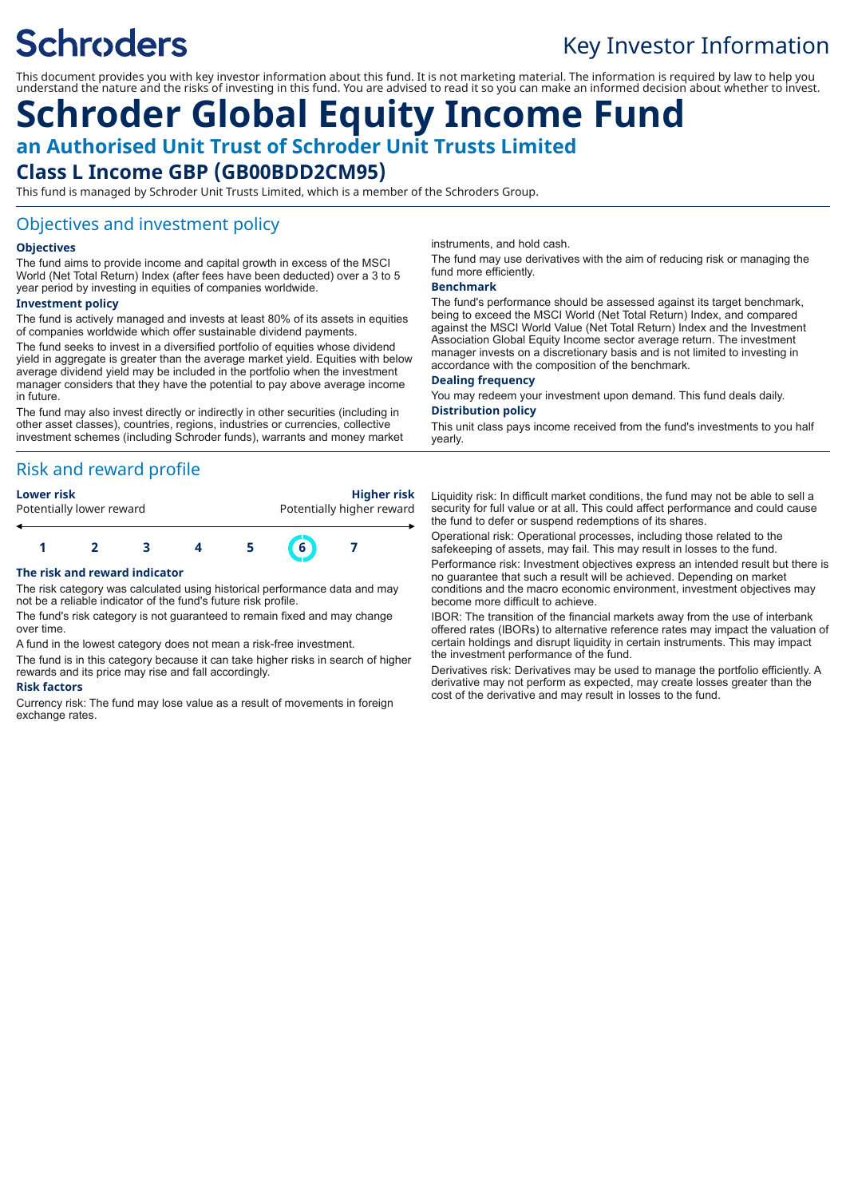# **Schroders**

# Key Investor Information

This document provides you with key investor information about this fund. It is not marketing material. The information is required by law to help you understand the nature and the risks of investing in this fund. You are advised to read it so you can make an informed decision about whether to invest.

# **Schroder Global Equity Income Fund an Authorised Unit Trust of Schroder Unit Trusts Limited Class L Income GBP (GB00BDD2CM95)**

This fund is managed by Schroder Unit Trusts Limited, which is a member of the Schroders Group.

### Objectives and investment policy

#### **Objectives**

The fund aims to provide income and capital growth in excess of the MSCI World (Net Total Return) Index (after fees have been deducted) over a 3 to 5 year period by investing in equities of companies worldwide.

#### **Investment policy**

The fund is actively managed and invests at least 80% of its assets in equities of companies worldwide which offer sustainable dividend payments.

The fund seeks to invest in a diversified portfolio of equities whose dividend yield in aggregate is greater than the average market yield. Equities with below average dividend yield may be included in the portfolio when the investment manager considers that they have the potential to pay above average income in future.

The fund may also invest directly or indirectly in other securities (including in other asset classes), countries, regions, industries or currencies, collective investment schemes (including Schroder funds), warrants and money market

### Risk and reward profile

| <b>Higher risk</b>        |
|---------------------------|
| Potentially higher reward |
|                           |
|                           |

#### **The risk and reward indicator**

The risk category was calculated using historical performance data and may not be a reliable indicator of the fund's future risk profile.

**1 2 3 4 5 6 7**

The fund's risk category is not guaranteed to remain fixed and may change over time.

A fund in the lowest category does not mean a risk-free investment.

The fund is in this category because it can take higher risks in search of higher rewards and its price may rise and fall accordingly.

#### **Risk factors**

Currency risk: The fund may lose value as a result of movements in foreign exchange rates.

instruments, and hold cash.

The fund may use derivatives with the aim of reducing risk or managing the fund more efficiently.

#### **Benchmark**

The fund's performance should be assessed against its target benchmark, being to exceed the MSCI World (Net Total Return) Index, and compared against the MSCI World Value (Net Total Return) Index and the Investment Association Global Equity Income sector average return. The investment manager invests on a discretionary basis and is not limited to investing in accordance with the composition of the benchmark.

#### **Dealing frequency**

You may redeem your investment upon demand. This fund deals daily. **Distribution policy**

#### This unit class pays income received from the fund's investments to you half yearly.

Liquidity risk: In difficult market conditions, the fund may not be able to sell a security for full value or at all. This could affect performance and could cause the fund to defer or suspend redemptions of its shares.

Operational risk: Operational processes, including those related to the safekeeping of assets, may fail. This may result in losses to the fund.

Performance risk: Investment objectives express an intended result but there is no guarantee that such a result will be achieved. Depending on market conditions and the macro economic environment, investment objectives may become more difficult to achieve.

IBOR: The transition of the financial markets away from the use of interbank offered rates (IBORs) to alternative reference rates may impact the valuation of certain holdings and disrupt liquidity in certain instruments. This may impact the investment performance of the fund.

Derivatives risk: Derivatives may be used to manage the portfolio efficiently. A derivative may not perform as expected, may create losses greater than the cost of the derivative and may result in losses to the fund.